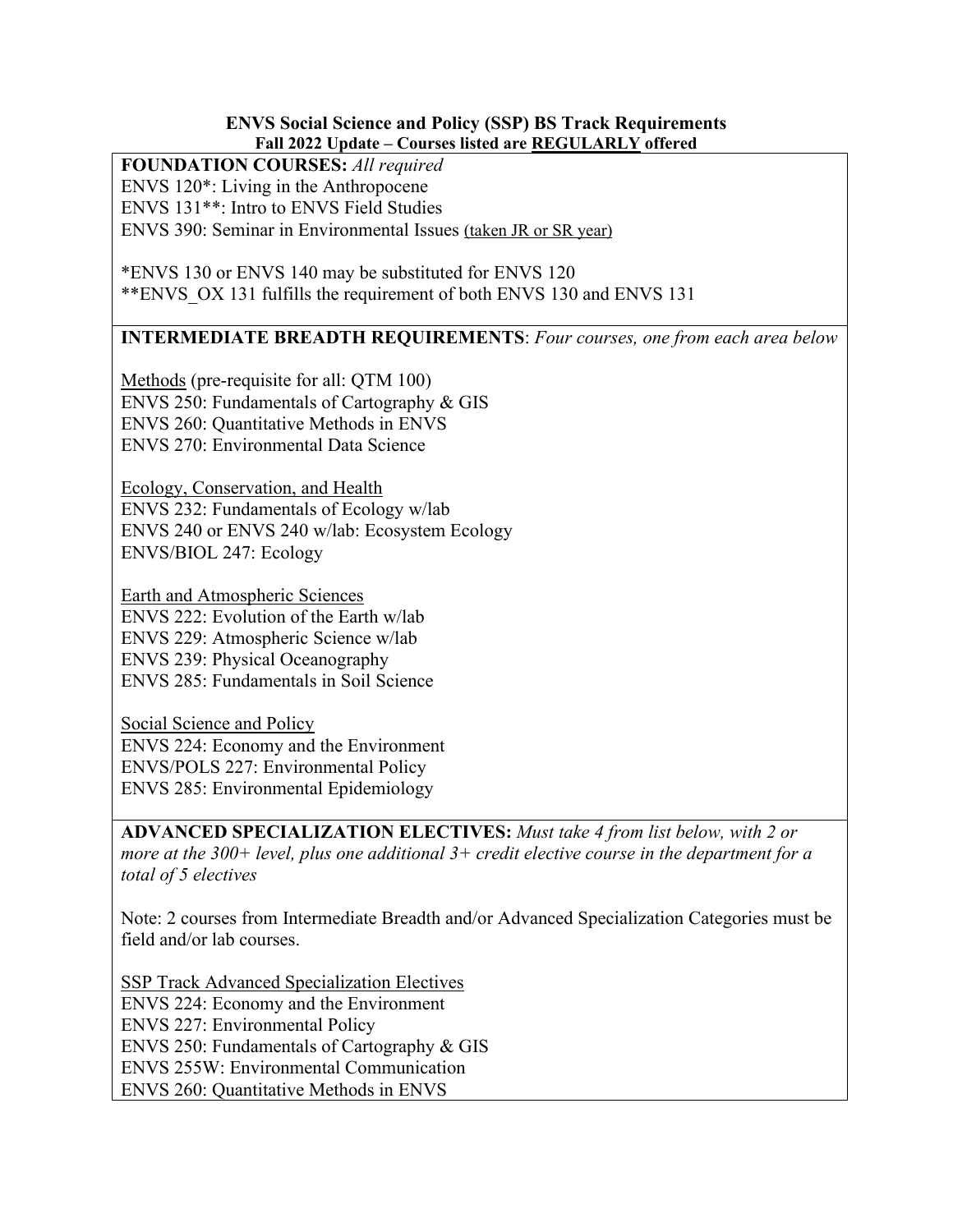#### **ENVS Social Science and Policy (SSP) BS Track Requirements Fall 2022 Update – Courses listed are REGULARLY offered**

#### **FOUNDATION COURSES:** *All required*

ENVS 120\*: Living in the Anthropocene ENVS 131\*\*: Intro to ENVS Field Studies ENVS 390: Seminar in Environmental Issues (taken JR or SR year)

\*ENVS 130 or ENVS 140 may be substituted for ENVS 120 \*\*ENVS\_OX 131 fulfills the requirement of both ENVS 130 and ENVS 131

## **INTERMEDIATE BREADTH REQUIREMENTS**: *Four courses, one from each area below*

Methods (pre-requisite for all: QTM 100) ENVS 250: Fundamentals of Cartography & GIS ENVS 260: Quantitative Methods in ENVS ENVS 270: Environmental Data Science

Ecology, Conservation, and Health ENVS 232: Fundamentals of Ecology w/lab ENVS 240 or ENVS 240 w/lab: Ecosystem Ecology ENVS/BIOL 247: Ecology

Earth and Atmospheric Sciences ENVS 222: Evolution of the Earth w/lab ENVS 229: Atmospheric Science w/lab ENVS 239: Physical Oceanography ENVS 285: Fundamentals in Soil Science

Social Science and Policy ENVS 224: Economy and the Environment ENVS/POLS 227: Environmental Policy ENVS 285: Environmental Epidemiology

**ADVANCED SPECIALIZATION ELECTIVES:** *Must take 4 from list below, with 2 or more at the 300+ level, plus one additional 3+ credit elective course in the department for a total of 5 electives*

Note: 2 courses from Intermediate Breadth and/or Advanced Specialization Categories must be field and/or lab courses.

SSP Track Advanced Specialization Electives ENVS 224: Economy and the Environment ENVS 227: Environmental Policy ENVS 250: Fundamentals of Cartography & GIS ENVS 255W: Environmental Communication ENVS 260: Quantitative Methods in ENVS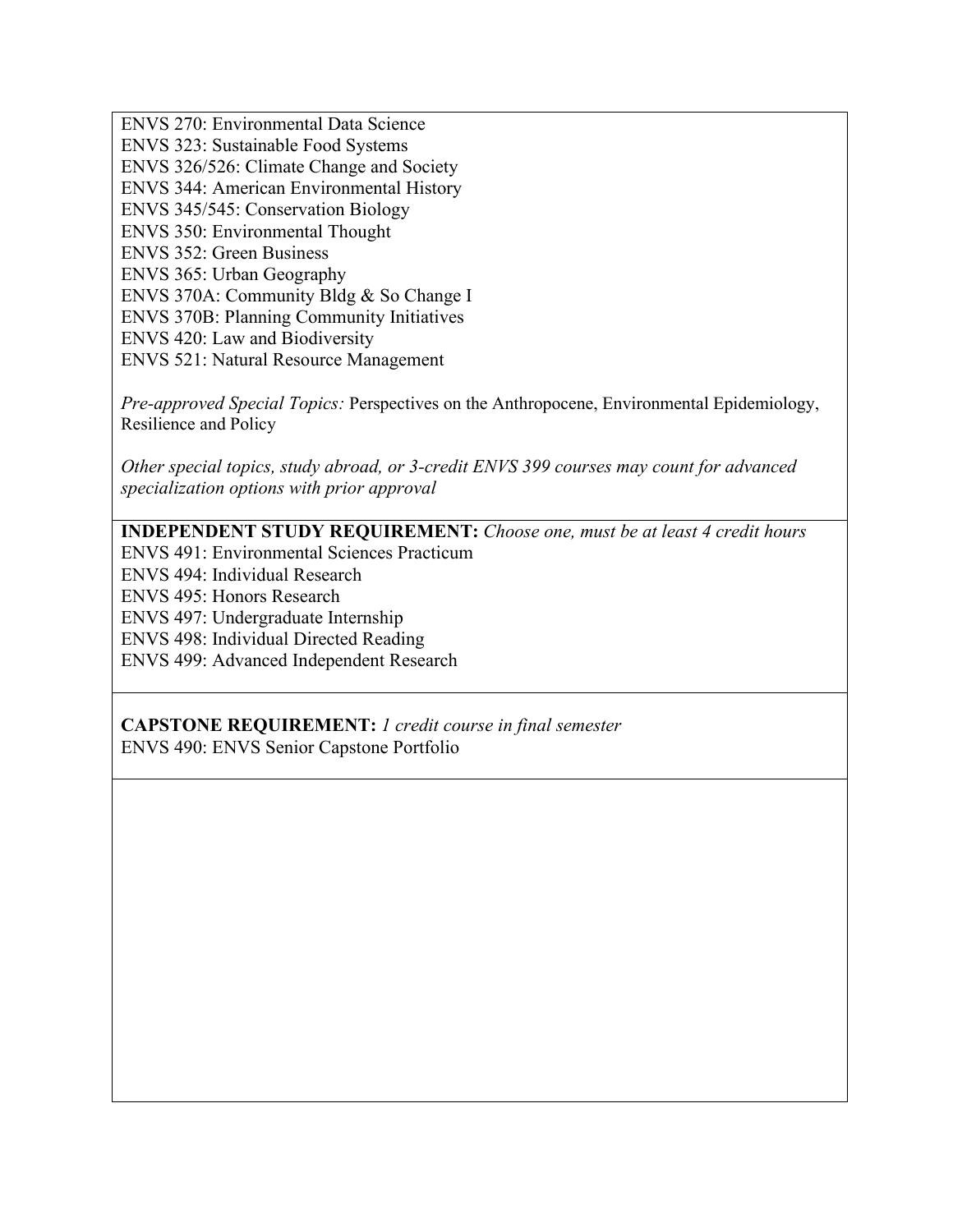ENVS 270: Environmental Data Science ENVS 323: Sustainable Food Systems ENVS 326/526: Climate Change and Society ENVS 344: American Environmental History ENVS 345/545: Conservation Biology ENVS 350: Environmental Thought ENVS 352: Green Business ENVS 365: Urban Geography ENVS 370A: Community Bldg & So Change I ENVS 370B: Planning Community Initiatives ENVS 420: Law and Biodiversity ENVS 521: Natural Resource Management

*Pre-approved Special Topics:* Perspectives on the Anthropocene, Environmental Epidemiology, Resilience and Policy

*Other special topics, study abroad, or 3-credit ENVS 399 courses may count for advanced specialization options with prior approval*

## **INDEPENDENT STUDY REQUIREMENT:** *Choose one, must be at least 4 credit hours*

ENVS 491: Environmental Sciences Practicum

ENVS 494: Individual Research

ENVS 495: Honors Research

ENVS 497: Undergraduate Internship

ENVS 498: Individual Directed Reading

ENVS 499: Advanced Independent Research

**CAPSTONE REQUIREMENT:** *1 credit course in final semester* ENVS 490: ENVS Senior Capstone Portfolio